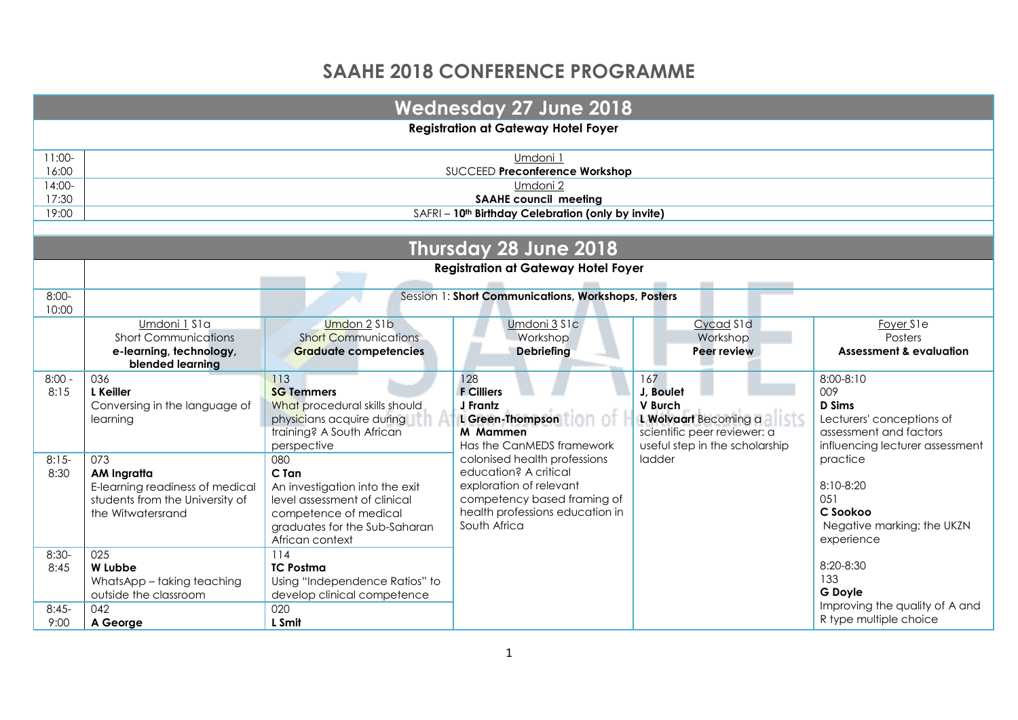## **SAAHE 2018 CONFERENCE PROGRAMME**

|                                    |                                                                                                               |                                                                                                                                                             | <b>Wednesday 27 June 2018</b>                                                                                                                                      |                                                                                                                       |                                                                                                                             |  |  |  |
|------------------------------------|---------------------------------------------------------------------------------------------------------------|-------------------------------------------------------------------------------------------------------------------------------------------------------------|--------------------------------------------------------------------------------------------------------------------------------------------------------------------|-----------------------------------------------------------------------------------------------------------------------|-----------------------------------------------------------------------------------------------------------------------------|--|--|--|
|                                    | <b>Registration at Gateway Hotel Foyer</b>                                                                    |                                                                                                                                                             |                                                                                                                                                                    |                                                                                                                       |                                                                                                                             |  |  |  |
| $11:00-$<br>16:00                  |                                                                                                               |                                                                                                                                                             | Umdoni 1<br>SUCCEED Preconference Workshop                                                                                                                         |                                                                                                                       |                                                                                                                             |  |  |  |
| 14:00-<br>17:30                    |                                                                                                               |                                                                                                                                                             | Umdoni 2<br><b>SAAHE council meeting</b>                                                                                                                           |                                                                                                                       |                                                                                                                             |  |  |  |
| 19:00                              |                                                                                                               |                                                                                                                                                             | SAFRI - 10 <sup>th</sup> Birthday Celebration (only by invite)                                                                                                     |                                                                                                                       |                                                                                                                             |  |  |  |
|                                    |                                                                                                               |                                                                                                                                                             | Thursday 28 June 2018                                                                                                                                              |                                                                                                                       |                                                                                                                             |  |  |  |
|                                    |                                                                                                               |                                                                                                                                                             | <b>Registration at Gateway Hotel Foyer</b>                                                                                                                         |                                                                                                                       |                                                                                                                             |  |  |  |
| $8:00-$                            |                                                                                                               |                                                                                                                                                             | Session 1: Short Communications, Workshops, Posters                                                                                                                |                                                                                                                       |                                                                                                                             |  |  |  |
| 10:00                              |                                                                                                               |                                                                                                                                                             |                                                                                                                                                                    |                                                                                                                       |                                                                                                                             |  |  |  |
|                                    | Umdoni 1 S1a<br><b>Short Communications</b><br>e-learning, technology,<br>blended learning                    | Umdon 2 S1b<br><b>Short Communications</b><br><b>Graduate competencies</b>                                                                                  | Umdoni 3 S1c<br>Workshop<br>Debriefing                                                                                                                             | Cycad S1d<br>Workshop<br>Peer review                                                                                  | Foyer S1e<br>Posters<br><b>Assessment &amp; evaluation</b>                                                                  |  |  |  |
| $8:00 -$<br>8:15                   | 036<br><b>L</b> Keiller<br>Conversing in the language of<br>learning                                          | 113<br><b>SG Temmers</b><br>What procedural skills should<br>physicians acquire during<br>training? A South African<br>perspective                          | 128<br><b>F</b> Cilliers<br>J Frantz<br>L Green-Thompson<br>M Mammen<br>Has the CanMEDS framework                                                                  | 167<br>J. Boulet<br>V Burch<br>L Wolvaart Becoming a<br>scientific peer reviewer: a<br>useful step in the scholarship | 8:00-8:10<br>009<br><b>D</b> Sims<br>Lecturers' conceptions of<br>assessment and factors<br>influencing lecturer assessment |  |  |  |
| $8:15-$<br>8:30                    | 073<br>AM Ingratta<br>E-learning readiness of medical<br>students from the University of<br>the Witwatersrand | 080<br>C Tan<br>An investigation into the exit<br>level assessment of clinical<br>competence of medical<br>graduates for the Sub-Saharan<br>African context | colonised health professions<br>education? A critical<br>exploration of relevant<br>competency based framing of<br>health professions education in<br>South Africa | ladder                                                                                                                | practice<br>8:10-8:20<br>0.51<br>C Sookoo<br>Negative marking; the UKZN<br>experience                                       |  |  |  |
| $8:30-$<br>8:45<br>$8:45-$<br>9:00 | 025<br>W Lubbe<br>WhatsApp - taking teaching<br>outside the classroom<br>042<br>A George                      | 114<br><b>TC Postma</b><br>Using "Independence Ratios" to<br>develop clinical competence<br>020<br>L Smit                                                   |                                                                                                                                                                    |                                                                                                                       | 8:20-8:30<br>133<br><b>G</b> Doyle<br>Improving the quality of A and<br>R type multiple choice                              |  |  |  |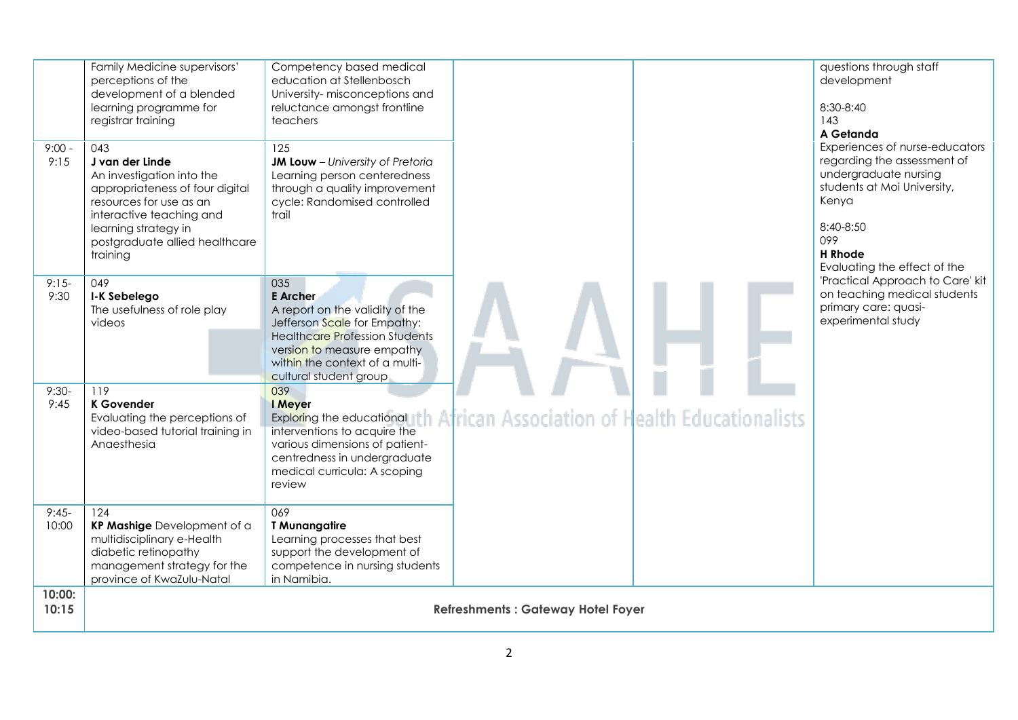| $9:00 -$<br>9:15 | Family Medicine supervisors'<br>perceptions of the<br>development of a blended<br>learning programme for<br>registrar training<br>043<br>J van der Linde<br>An investigation into the<br>appropriateness of four digital<br>resources for use as an<br>interactive teaching and<br>learning strategy in<br>postgraduate allied healthcare<br>training | Competency based medical<br>education at Stellenbosch<br>University- misconceptions and<br>reluctance amongst frontline<br>teachers<br>125<br>JM Louw - University of Pretoria<br>Learning person centeredness<br>through a quality improvement<br>cycle: Randomised controlled<br>trail |                                          | questions through staff<br>development<br>8:30-8:40<br>143<br>A Getanda<br>Experiences of nurse-educators<br>regarding the assessment of<br>undergraduate nursing<br>students at Moi University,<br>Kenya<br>8:40-8:50<br>099<br><b>H</b> Rhode<br>Evaluating the effect of the |
|------------------|-------------------------------------------------------------------------------------------------------------------------------------------------------------------------------------------------------------------------------------------------------------------------------------------------------------------------------------------------------|------------------------------------------------------------------------------------------------------------------------------------------------------------------------------------------------------------------------------------------------------------------------------------------|------------------------------------------|---------------------------------------------------------------------------------------------------------------------------------------------------------------------------------------------------------------------------------------------------------------------------------|
| $9:15-$<br>9:30  | 049<br>I-K Sebelego<br>The usefulness of role play<br>videos                                                                                                                                                                                                                                                                                          | 035<br><b>E</b> Archer<br>A report on the validity of the<br>Jefferson Scale for Empathy:<br><b>Healthcare Profession Students</b><br>version to measure empathy<br>within the context of a multi-<br>cultural student group                                                             |                                          | 'Practical Approach to Care' kit<br>on teaching medical students<br>primary care: quasi-<br>experimental study                                                                                                                                                                  |
| $9:30-$<br>9:45  | 119<br><b>K</b> Govender<br>Evaluating the perceptions of<br>video-based tutorial training in<br>Anaesthesia                                                                                                                                                                                                                                          | 039<br>I Meyer<br>Exploring the educational th African Association of Health Educationalists<br>interventions to acquire the<br>various dimensions of patient-<br>centredness in undergraduate<br>medical curricula: A scoping<br>review                                                 |                                          |                                                                                                                                                                                                                                                                                 |
| $9:45-$<br>10:00 | 124<br>KP Mashige Development of a<br>multidisciplinary e-Health<br>diabetic retinopathy<br>management strategy for the<br>province of KwaZulu-Natal                                                                                                                                                                                                  | 069<br><b>T</b> Munangatire<br>Learning processes that best<br>support the development of<br>competence in nursing students<br>in Namibia.                                                                                                                                               |                                          |                                                                                                                                                                                                                                                                                 |
| 10:00:<br>10:15  |                                                                                                                                                                                                                                                                                                                                                       |                                                                                                                                                                                                                                                                                          | <b>Refreshments: Gateway Hotel Foyer</b> |                                                                                                                                                                                                                                                                                 |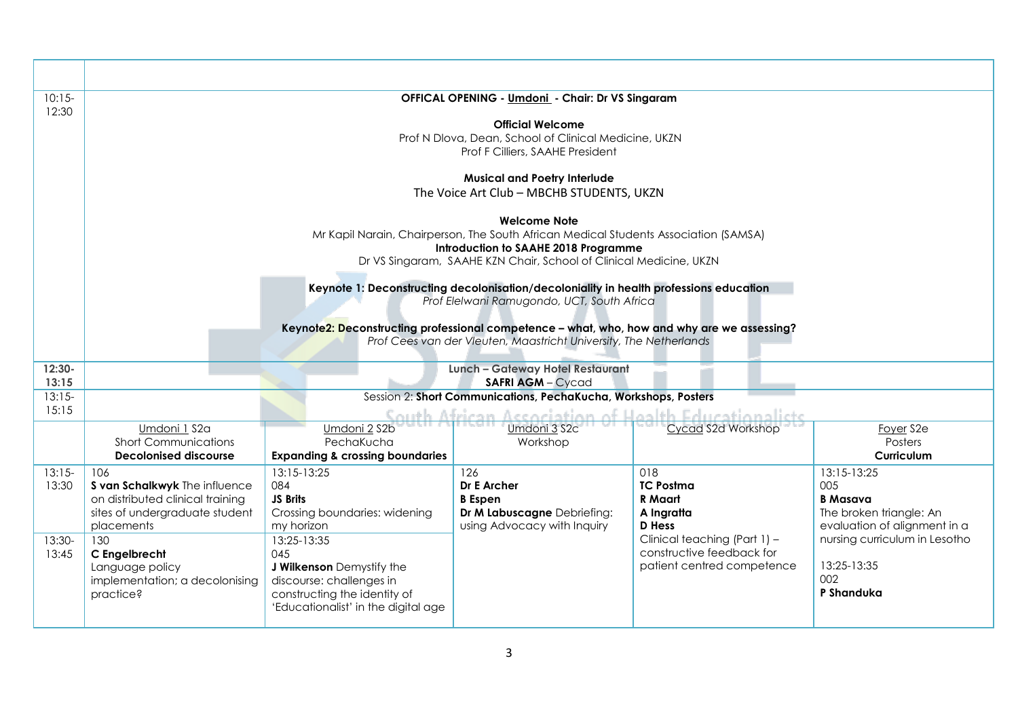| $10:15-$                             |                                                                                                                                                                                                                                                                                                          | <b>OFFICAL OPENING - Umdoni - Chair: Dr VS Singaram</b>                                                                                                                                                                               |                                                                                                                                                                                                                           |                                                                                                                                                              |                                                                                                                                                                       |  |  |  |  |
|--------------------------------------|----------------------------------------------------------------------------------------------------------------------------------------------------------------------------------------------------------------------------------------------------------------------------------------------------------|---------------------------------------------------------------------------------------------------------------------------------------------------------------------------------------------------------------------------------------|---------------------------------------------------------------------------------------------------------------------------------------------------------------------------------------------------------------------------|--------------------------------------------------------------------------------------------------------------------------------------------------------------|-----------------------------------------------------------------------------------------------------------------------------------------------------------------------|--|--|--|--|
| 12:30                                | <b>Official Welcome</b><br>Prof N Dlova, Dean, School of Clinical Medicine, UKZN<br>Prof F Cilliers, SAAHE President                                                                                                                                                                                     |                                                                                                                                                                                                                                       |                                                                                                                                                                                                                           |                                                                                                                                                              |                                                                                                                                                                       |  |  |  |  |
|                                      |                                                                                                                                                                                                                                                                                                          |                                                                                                                                                                                                                                       | <b>Musical and Poetry Interlude</b>                                                                                                                                                                                       |                                                                                                                                                              |                                                                                                                                                                       |  |  |  |  |
|                                      |                                                                                                                                                                                                                                                                                                          |                                                                                                                                                                                                                                       | The Voice Art Club - MBCHB STUDENTS, UKZN                                                                                                                                                                                 |                                                                                                                                                              |                                                                                                                                                                       |  |  |  |  |
|                                      |                                                                                                                                                                                                                                                                                                          |                                                                                                                                                                                                                                       | <b>Welcome Note</b><br>Mr Kapil Narain, Chairperson, The South African Medical Students Association (SAMSA)<br>Introduction to SAAHE 2018 Programme<br>Dr VS Singaram, SAAHE KZN Chair, School of Clinical Medicine, UKZN |                                                                                                                                                              |                                                                                                                                                                       |  |  |  |  |
|                                      | Keynote 1: Deconstructing decolonisation/decoloniality in health professions education<br>Prof Elelwani Ramugondo, UCT, South Africa<br>Keynote2: Deconstructing professional competence - what, who, how and why are we assessing?<br>Prof Cees van der Vleuten, Maastricht University, The Netherlands |                                                                                                                                                                                                                                       |                                                                                                                                                                                                                           |                                                                                                                                                              |                                                                                                                                                                       |  |  |  |  |
| $12:30-$                             |                                                                                                                                                                                                                                                                                                          |                                                                                                                                                                                                                                       | Lunch - Gateway Hotel Restaurant                                                                                                                                                                                          |                                                                                                                                                              |                                                                                                                                                                       |  |  |  |  |
| 13:15<br>$13:15-$                    |                                                                                                                                                                                                                                                                                                          |                                                                                                                                                                                                                                       | <b>SAFRI AGM - Cycad</b><br>Session 2: Short Communications, PechaKucha, Workshops, Posters                                                                                                                               |                                                                                                                                                              |                                                                                                                                                                       |  |  |  |  |
| 15:15                                |                                                                                                                                                                                                                                                                                                          |                                                                                                                                                                                                                                       | South African Accociation of Health Educationalists                                                                                                                                                                       |                                                                                                                                                              |                                                                                                                                                                       |  |  |  |  |
|                                      | Umdoni 1 S2a<br><b>Short Communications</b><br><b>Decolonised discourse</b>                                                                                                                                                                                                                              | Umdoni 2 S2b<br>PechaKucha<br><b>Expanding &amp; crossing boundaries</b>                                                                                                                                                              | Umdoni 3 S2c<br>Workshop                                                                                                                                                                                                  | Cycad S2d Workshop                                                                                                                                           | Foyer S2e<br>Posters<br>Curriculum                                                                                                                                    |  |  |  |  |
| $13:15-$<br>13:30<br>13:30-<br>13:45 | 106<br>S van Schalkwyk The influence<br>on distributed clinical training<br>sites of undergraduate student<br>placements<br>130<br>C Engelbrecht<br>Language policy<br>implementation; a decolonising<br>practice?                                                                                       | $13:15-13:25$<br>084<br>JS Brits<br>Crossing boundaries: widening<br>my horizon<br>13:25-13:35<br>045<br>J Wilkenson Demystify the<br>discourse: challenges in<br>constructing the identity of<br>'Educationalist' in the digital age | 126<br>Dr E Archer<br><b>B</b> Espen<br>Dr M Labuscagne Debriefing:<br>using Advocacy with Inquiry                                                                                                                        | 018<br><b>TC Postma</b><br>R Maart<br>A Ingratta<br><b>D</b> Hess<br>Clinical teaching (Part 1) -<br>constructive feedback for<br>patient centred competence | 13:15-13:25<br>005<br><b>B</b> Masava<br>The broken triangle: An<br>evaluation of alignment in a<br>nursing curriculum in Lesotho<br>13:25-13:35<br>002<br>P Shanduka |  |  |  |  |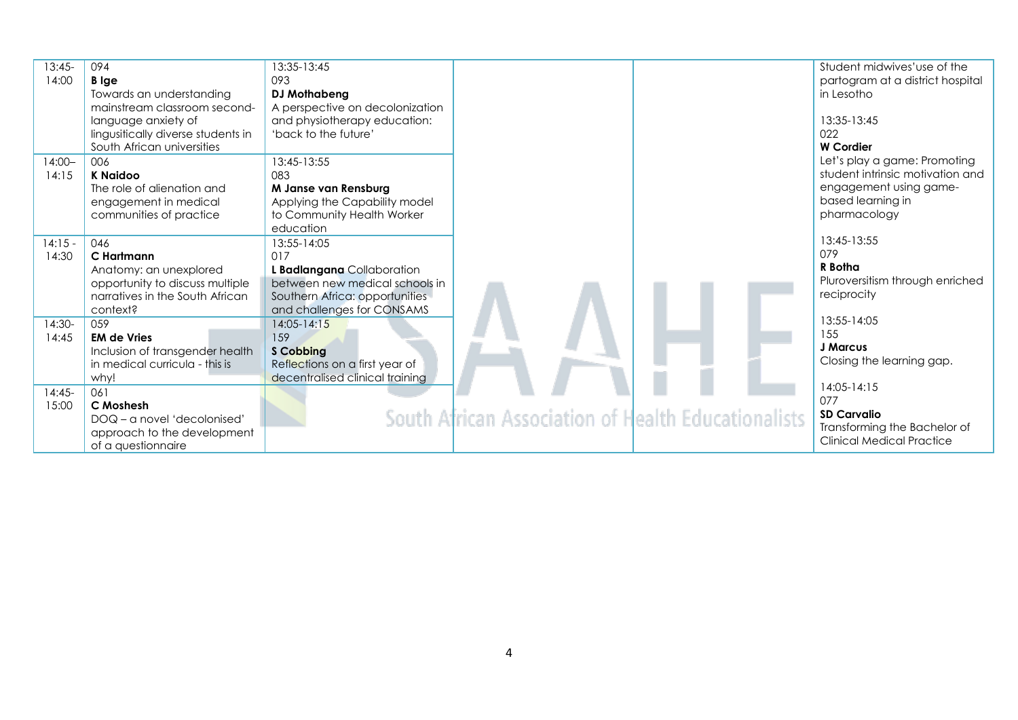| $13:45-$  | 094                                | 13:35-13:45                     |                                                     | Student midwives'use of the      |
|-----------|------------------------------------|---------------------------------|-----------------------------------------------------|----------------------------------|
| 14:00     | <b>B</b> Ige                       | 093                             |                                                     | partogram at a district hospital |
|           | Towards an understanding           | <b>DJ Mothabeng</b>             |                                                     | in Lesotho                       |
|           | mainstream classroom second-       | A perspective on decolonization |                                                     |                                  |
|           | language anxiety of                | and physiotherapy education:    |                                                     | 13:35-13:45                      |
|           | lingusitically diverse students in | 'back to the future'            |                                                     | 022                              |
|           | South African universities         |                                 |                                                     | <b>W</b> Cordier                 |
| $14:00 -$ | 006                                | 13:45-13:55                     |                                                     | Let's play a game: Promoting     |
| 14:15     | <b>K Naidoo</b>                    | 083                             |                                                     | student intrinsic motivation and |
|           | The role of alienation and         | M Janse van Rensburg            |                                                     | engagement using game-           |
|           | engagement in medical              | Applying the Capability model   |                                                     | based learning in                |
|           | communities of practice            | to Community Health Worker      |                                                     | pharmacology                     |
|           |                                    | education                       |                                                     | 13:45-13:55                      |
| $14:15 -$ | 046                                | 13:55-14:05                     |                                                     | 079                              |
| 14:30     | C Hartmann                         | 017                             |                                                     | R Botha                          |
|           | Anatomy: an unexplored             | L Badlangana Collaboration      |                                                     | Pluroversitism through enriched  |
|           | opportunity to discuss multiple    | between new medical schools in  |                                                     |                                  |
|           | narratives in the South African    | Southern Africa: opportunities  |                                                     | reciprocity                      |
|           | context?                           | and challenges for CONSAMS      |                                                     | 13:55-14:05                      |
| 14:30-    | 059                                | $14:05 - 14:15$                 |                                                     | 155                              |
| 14:45     | <b>EM de Vries</b>                 | 159                             |                                                     | J Marcus                         |
|           | Inclusion of transgender health    | <b>S Cobbing</b>                |                                                     | Closing the learning gap.        |
|           | in medical curricula - this is     | Reflections on a first year of  |                                                     |                                  |
|           | why!                               | decentralised clinical training |                                                     | 14:05-14:15                      |
| $14:45-$  | 061                                |                                 |                                                     | 077                              |
| 15:00     | C Moshesh                          |                                 |                                                     | <b>SD Carvalio</b>               |
|           | DOQ - a novel 'decolonised'        |                                 | South African Association of Health Educationalists | Transforming the Bachelor of     |
|           | approach to the development        |                                 |                                                     | Clinical Medical Practice        |
|           | of a questionnaire                 |                                 |                                                     |                                  |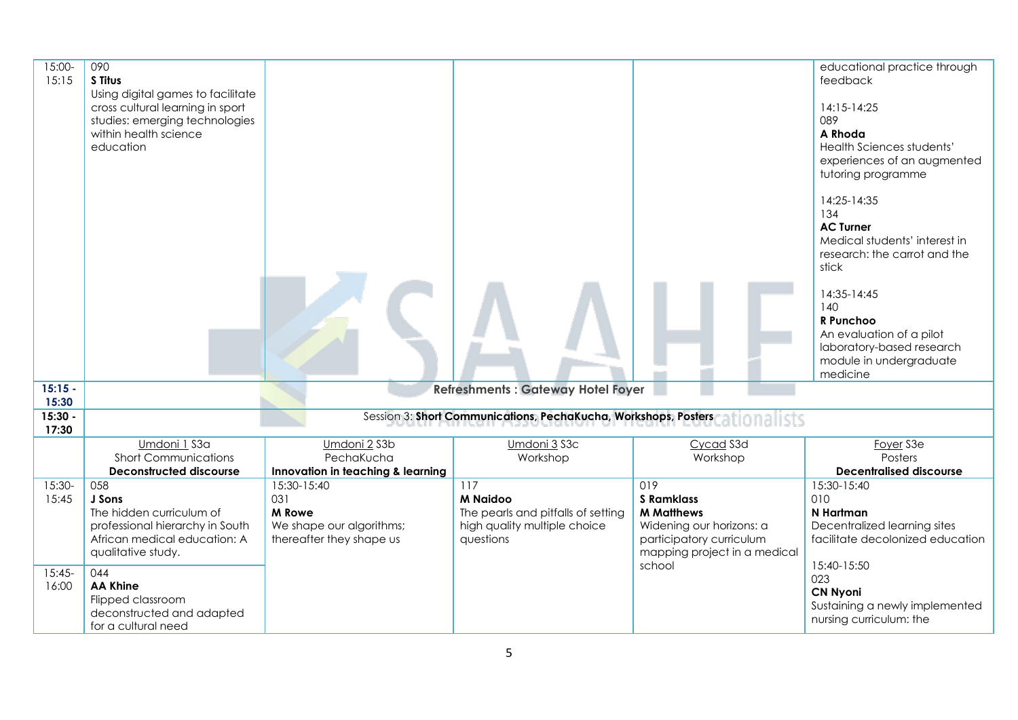| $15:00 -$<br>15:15                     | 090<br>S Titus<br>Using digital games to facilitate<br>cross cultural learning in sport<br>studies: emerging technologies<br>within health science<br>education                                                                       |                                                                                             |                                                                                                           |                                                                                                                                                 | educational practice through<br>feedback<br>14:15-14:25<br>089<br>A Rhoda<br>Health Sciences students'<br>experiences of an augmented<br>tutoring programme<br>14:25-14:35<br>134<br><b>AC Turner</b><br>Medical students' interest in<br>research: the carrot and the<br>stick<br>14:35-14:45<br>140<br>R Punchoo<br>An evaluation of a pilot<br>laboratory-based research<br>module in undergraduate<br>medicine |
|----------------------------------------|---------------------------------------------------------------------------------------------------------------------------------------------------------------------------------------------------------------------------------------|---------------------------------------------------------------------------------------------|-----------------------------------------------------------------------------------------------------------|-------------------------------------------------------------------------------------------------------------------------------------------------|--------------------------------------------------------------------------------------------------------------------------------------------------------------------------------------------------------------------------------------------------------------------------------------------------------------------------------------------------------------------------------------------------------------------|
| $15:15 -$<br>15:30                     |                                                                                                                                                                                                                                       |                                                                                             | <b>Refreshments: Gateway Hotel Foyer</b>                                                                  |                                                                                                                                                 |                                                                                                                                                                                                                                                                                                                                                                                                                    |
| 15:30 -<br>17:30                       |                                                                                                                                                                                                                                       |                                                                                             | Session 3: Short Communications, PechaKucha, Workshops, Posters                                           |                                                                                                                                                 |                                                                                                                                                                                                                                                                                                                                                                                                                    |
|                                        | Umdoni 1 S3a<br><b>Short Communications</b><br><b>Deconstructed discourse</b>                                                                                                                                                         | Umdoni 2 S3b<br>PechaKucha<br>Innovation in teaching & learning                             | Umdoni 3 S3c<br>Workshop                                                                                  | Cycad S3d<br>Workshop                                                                                                                           | Foyer <sub>S3e</sub><br>Posters<br><b>Decentralised discourse</b>                                                                                                                                                                                                                                                                                                                                                  |
| $15:30-$<br>15:45<br>$15:45-$<br>16:00 | 058<br>J Sons<br>The hidden curriculum of<br>professional hierarchy in South<br>African medical education: A<br>qualitative study.<br>044<br><b>AA Khine</b><br>Flipped classroom<br>deconstructed and adapted<br>for a cultural need | 15:30-15:40<br>031<br><b>M</b> Rowe<br>We shape our algorithms;<br>thereafter they shape us | 117<br><b>M Naidoo</b><br>The pearls and pitfalls of setting<br>high quality multiple choice<br>questions | 019<br><b>S</b> Ramklass<br><b>M</b> Matthews<br>Widening our horizons: a<br>participatory curriculum<br>mapping project in a medical<br>school | 15:30-15:40<br>010<br>N Hartman<br>Decentralized learning sites<br>facilitate decolonized education<br>15:40-15:50<br>023<br><b>CN Nyoni</b><br>Sustaining a newly implemented<br>nursing curriculum: the                                                                                                                                                                                                          |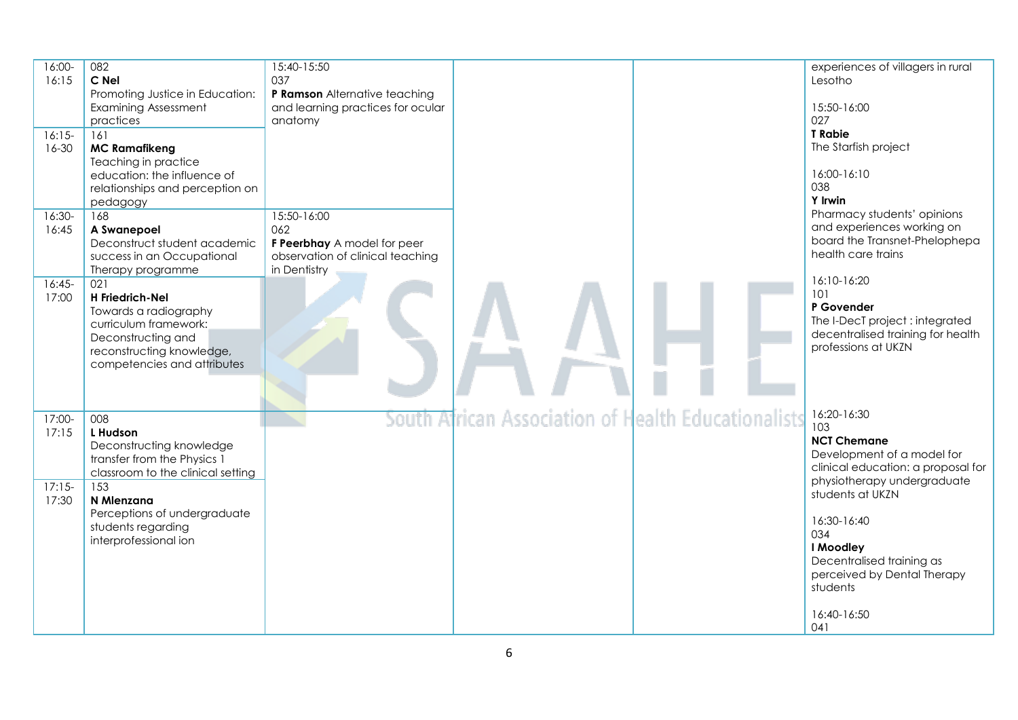| 16:00-<br>16:15<br>$16:15-$<br>$16 - 30$ | 082<br>C Nel<br>Promoting Justice in Education:<br><b>Examining Assessment</b><br>practices<br>161<br><b>MC Ramafikeng</b><br>Teaching in practice<br>education: the influence of<br>relationships and perception on<br>pedagogy | 15:40-15:50<br>037<br>P Ramson Alternative teaching<br>and learning practices for ocular<br>anatomy   |                                                     | experiences of villagers in rural<br>Lesotho<br>15:50-16:00<br>027<br><b>T</b> Rabie<br>The Starfish project<br>16:00-16:10<br>038<br><b>Y</b> Irwin |
|------------------------------------------|----------------------------------------------------------------------------------------------------------------------------------------------------------------------------------------------------------------------------------|-------------------------------------------------------------------------------------------------------|-----------------------------------------------------|------------------------------------------------------------------------------------------------------------------------------------------------------|
| 16:30-<br>16:45                          | 168<br>A Swanepoel<br>Deconstruct student academic<br>success in an Occupational<br>Therapy programme                                                                                                                            | 15:50-16:00<br>062<br>F Peerbhay A model for peer<br>observation of clinical teaching<br>in Dentistry |                                                     | Pharmacy students' opinions<br>and experiences working on<br>board the Transnet-Phelophepa<br>health care trains                                     |
| $16:45-$<br>17:00                        | 021<br>H Friedrich-Nel<br>Towards a radiography<br>curriculum framework:<br>Deconstructing and<br>reconstructing knowledge,<br>competencies and attributes                                                                       |                                                                                                       |                                                     | 16:10-16:20<br>101<br>P Govender<br>The I-DecT project: integrated<br>decentralised training for health<br>professions at UKZN                       |
| 17:00-<br>17:15                          | 008<br>L Hudson<br>Deconstructing knowledge<br>transfer from the Physics 1<br>classroom to the clinical setting                                                                                                                  |                                                                                                       | South African Association of Health Educationalists | 16:20-16:30<br>103<br><b>NCT Chemane</b><br>Development of a model for<br>clinical education: a proposal for<br>physiotherapy undergraduate          |
| $17:15-$<br>17:30                        | 153<br>N Mlenzana<br>Perceptions of undergraduate<br>students regarding<br>interprofessional ion                                                                                                                                 |                                                                                                       |                                                     | students at UKZN<br>16:30-16:40<br>034<br>I Moodley<br>Decentralised training as<br>perceived by Dental Therapy<br>students<br>16:40-16:50<br>041    |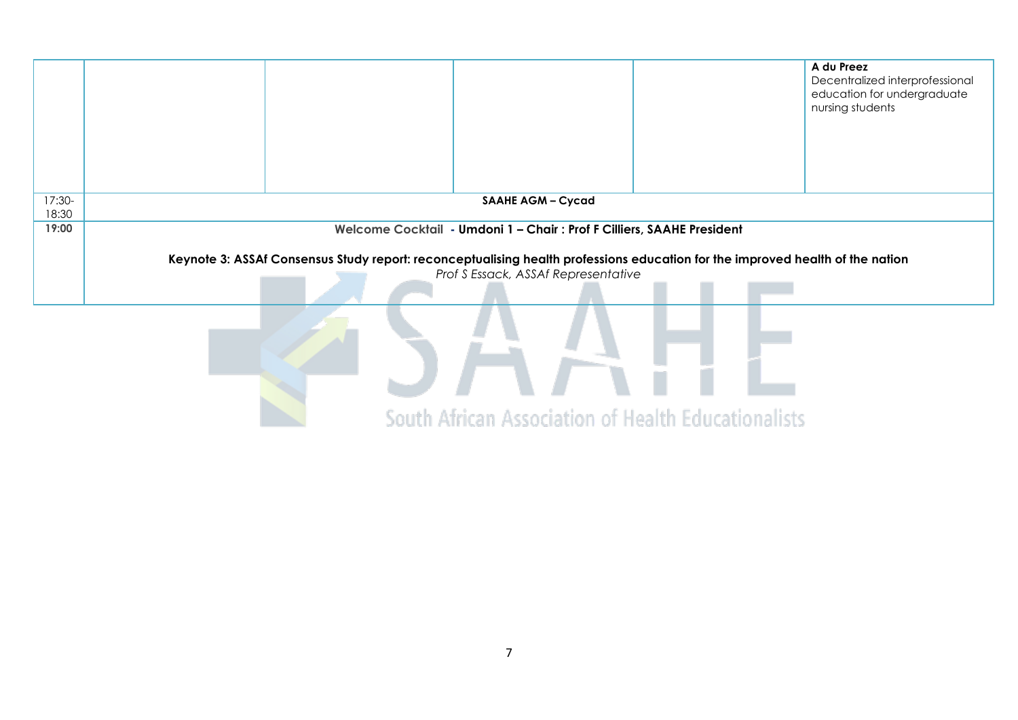|                 |                                                                                                                                                                      | A du Preez<br>Decentralized interprofessional<br>education for undergraduate<br>nursing students |
|-----------------|----------------------------------------------------------------------------------------------------------------------------------------------------------------------|--------------------------------------------------------------------------------------------------|
|                 |                                                                                                                                                                      |                                                                                                  |
| 17:30-<br>18:30 | <b>SAAHE AGM - Cycad</b>                                                                                                                                             |                                                                                                  |
| 19:00           | Welcome Cocktail - Umdoni 1 - Chair: Prof F Cilliers, SAAHE President                                                                                                |                                                                                                  |
|                 | Keynote 3: ASSAf Consensus Study report: reconceptualising health professions education for the improved health of the nation<br>Prof S Essack, ASSAf Representative |                                                                                                  |
|                 |                                                                                                                                                                      |                                                                                                  |
|                 |                                                                                                                                                                      |                                                                                                  |
|                 |                                                                                                                                                                      |                                                                                                  |
|                 |                                                                                                                                                                      |                                                                                                  |
|                 | South African Association of Health Educationalists                                                                                                                  |                                                                                                  |

South African Association of Health Educationalists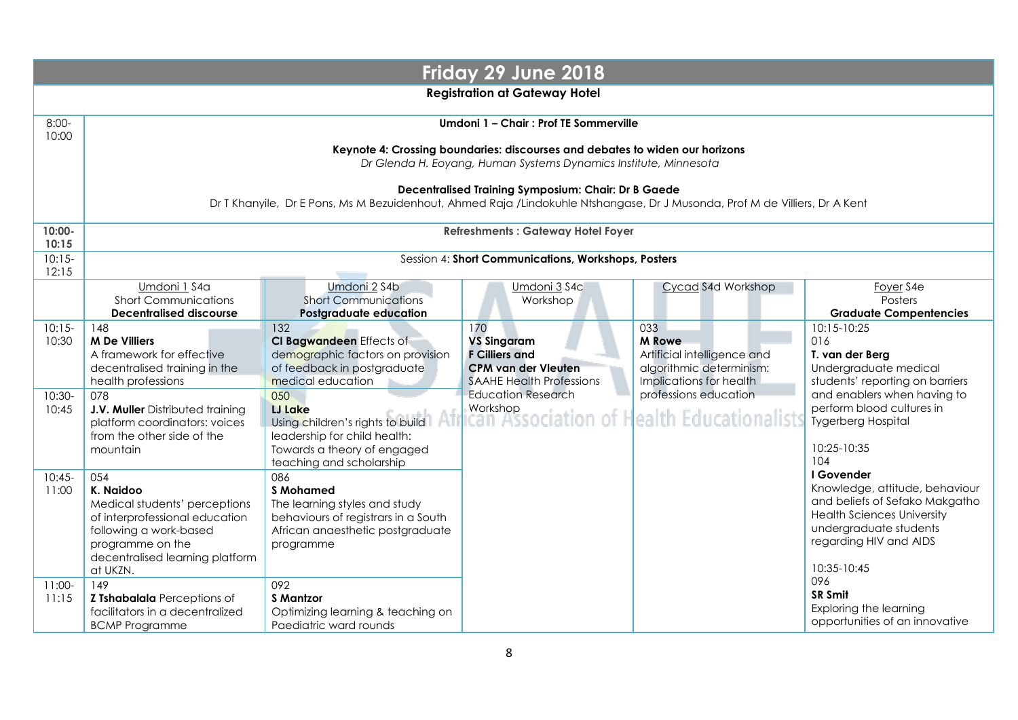|                                        | Friday 29 June 2018                                                                                                                                                                                                                   |                                                                                                                                                                                                                                                     |                                                                                                                                                              |                                                                                                                                                             |                                                                                                                                                                                                           |  |  |  |  |
|----------------------------------------|---------------------------------------------------------------------------------------------------------------------------------------------------------------------------------------------------------------------------------------|-----------------------------------------------------------------------------------------------------------------------------------------------------------------------------------------------------------------------------------------------------|--------------------------------------------------------------------------------------------------------------------------------------------------------------|-------------------------------------------------------------------------------------------------------------------------------------------------------------|-----------------------------------------------------------------------------------------------------------------------------------------------------------------------------------------------------------|--|--|--|--|
|                                        | <b>Registration at Gateway Hotel</b>                                                                                                                                                                                                  |                                                                                                                                                                                                                                                     |                                                                                                                                                              |                                                                                                                                                             |                                                                                                                                                                                                           |  |  |  |  |
| $8:00-$<br>10:00                       |                                                                                                                                                                                                                                       | Umdoni 1 - Chair : Prof TE Sommerville                                                                                                                                                                                                              |                                                                                                                                                              |                                                                                                                                                             |                                                                                                                                                                                                           |  |  |  |  |
|                                        |                                                                                                                                                                                                                                       |                                                                                                                                                                                                                                                     | Keynote 4: Crossing boundaries: discourses and debates to widen our horizons<br>Dr Glenda H. Eoyang, Human Systems Dynamics Institute, Minnesota             |                                                                                                                                                             |                                                                                                                                                                                                           |  |  |  |  |
|                                        |                                                                                                                                                                                                                                       | Dr T Khanyile, Dr E Pons, Ms M Bezuidenhout, Ahmed Raja /Lindokuhle Ntshangase, Dr J Musonda, Prof M de Villiers, Dr A Kent                                                                                                                         | Decentralised Training Symposium: Chair: Dr B Gaede                                                                                                          |                                                                                                                                                             |                                                                                                                                                                                                           |  |  |  |  |
| $10:00 -$<br>10:15                     |                                                                                                                                                                                                                                       |                                                                                                                                                                                                                                                     | <b>Refreshments: Gateway Hotel Foyer</b>                                                                                                                     |                                                                                                                                                             |                                                                                                                                                                                                           |  |  |  |  |
| $10:15-$<br>12:15                      |                                                                                                                                                                                                                                       |                                                                                                                                                                                                                                                     | Session 4: Short Communications, Workshops, Posters                                                                                                          |                                                                                                                                                             |                                                                                                                                                                                                           |  |  |  |  |
|                                        | Umdoni 1 S4a<br><b>Short Communications</b><br><b>Decentralised discourse</b>                                                                                                                                                         | Umdoni 2 S4b<br><b>Short Communications</b><br>Postgraduate education                                                                                                                                                                               | Umdoni 3 S4c<br>Workshop                                                                                                                                     | Cycad S4d Workshop                                                                                                                                          | Foyer S4e<br>Posters<br><b>Graduate Compentencies</b>                                                                                                                                                     |  |  |  |  |
| $10:15-$<br>10:30<br>$10:30-$<br>10:45 | 148<br><b>M De Villiers</b><br>A framework for effective<br>decentralised training in the<br>health professions<br>078<br>J.V. Muller Distributed training<br>platform coordinators: voices<br>from the other side of the<br>mountain | 132<br>CI Bagwandeen Effects of<br>demographic factors on provision<br>of feedback in postgraduate<br>medical education<br>050<br><b>LJ Lake</b><br>Using children's rights to build<br>leadership for child health:<br>Towards a theory of engaged | 170<br><b>VS Singaram</b><br><b>F Cilliers and</b><br><b>CPM van der Vleuten</b><br><b>SAAHE Health Professions</b><br><b>Education Research</b><br>Workshop | 033<br><b>M</b> Rowe<br>Artificial intelligence and<br>algorithmic determinism:<br>Implications for health<br>professions education<br>ealth Educationalist | 10:15-10:25<br>016<br>T. van der Berg<br>Undergraduate medical<br>students' reporting on barriers<br>and enablers when having to<br>perform blood cultures in<br><b>Tygerberg Hospital</b><br>10:25-10:35 |  |  |  |  |
| $10:45-$<br>11:00                      | 054<br>K. Naidoo<br>Medical students' perceptions<br>of interprofessional education<br>following a work-based<br>programme on the<br>decentralised learning platform<br>at UKZN.                                                      | teaching and scholarship<br>086<br><b>S</b> Mohamed<br>The learning styles and study<br>behaviours of registrars in a South<br>African anaesthetic postgraduate<br>programme                                                                        |                                                                                                                                                              |                                                                                                                                                             | 104<br>I Govender<br>Knowledge, attitude, behaviour<br>and beliefs of Sefako Makgatho<br><b>Health Sciences University</b><br>undergraduate students<br>regarding HIV and AIDS<br>10:35-10:45             |  |  |  |  |
| $11:00-$<br>11:15                      | 149<br>Z Tshabalala Perceptions of<br>facilitators in a decentralized<br><b>BCMP Programme</b>                                                                                                                                        | 092<br><b>S Mantzor</b><br>Optimizing learning & teaching on<br>Paediatric ward rounds                                                                                                                                                              |                                                                                                                                                              |                                                                                                                                                             | 096<br><b>SR Smit</b><br>Exploring the learning<br>opportunities of an innovative                                                                                                                         |  |  |  |  |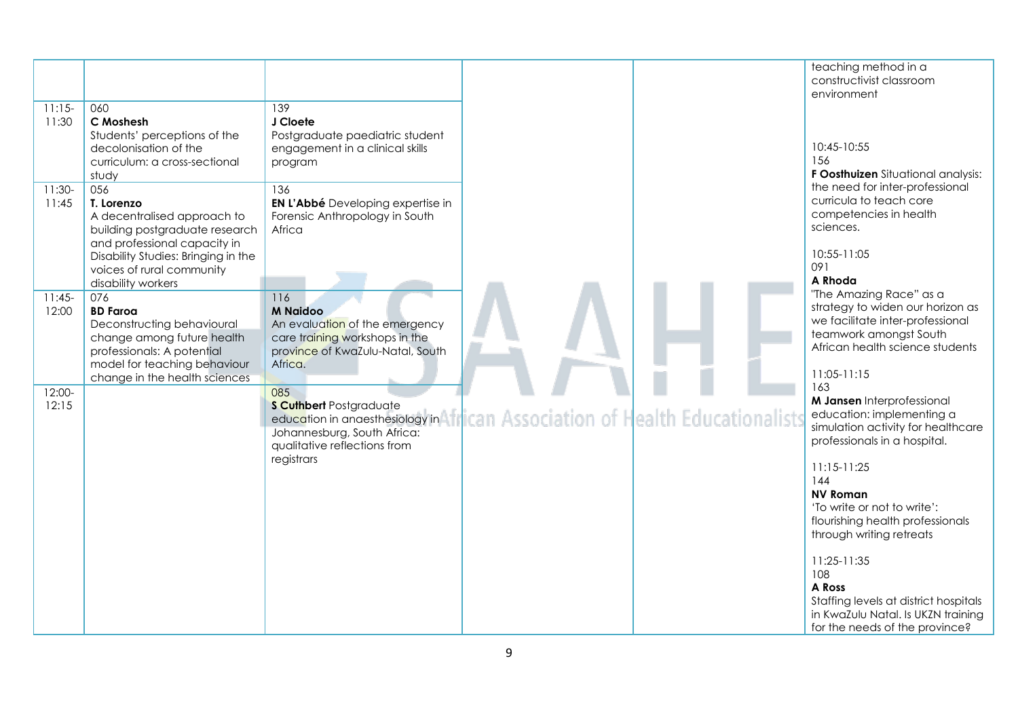| $11:15-$<br>11:30 | 060<br>C Moshesh<br>Students' perceptions of the<br>decolonisation of the                                                                                                    | 139<br>J Cloete<br>Postgraduate paediatric student<br>engagement in a clinical skills                                                                                                                                                |  | teaching method in a<br>constructivist classroom<br>environment<br>10:45-10:55                                                                                                                |
|-------------------|------------------------------------------------------------------------------------------------------------------------------------------------------------------------------|--------------------------------------------------------------------------------------------------------------------------------------------------------------------------------------------------------------------------------------|--|-----------------------------------------------------------------------------------------------------------------------------------------------------------------------------------------------|
| $11:30-$<br>11:45 | curriculum: a cross-sectional<br>study<br>056<br>T. Lorenzo<br>A decentralised approach to<br>building postgraduate research<br>and professional capacity in                 | program<br>136<br><b>EN L'Abbé</b> Developing expertise in<br>Forensic Anthropology in South<br>Africa                                                                                                                               |  | 156<br>F Oosthuizen Situational analysis:<br>the need for inter-professional<br>curricula to teach core<br>competencies in health<br>sciences.                                                |
| $11:45-$<br>12:00 | Disability Studies: Bringing in the<br>voices of rural community<br>disability workers<br>076<br><b>BD Faroa</b><br>Deconstructing behavioural<br>change among future health | 116<br><b>M Naidoo</b><br>An evaluation of the emergency<br>care training workshops in the                                                                                                                                           |  | 10:55-11:05<br>091<br>A Rhoda<br>"The Amazing Race" as a<br>strategy to widen our horizon as<br>we facilitate inter-professional<br>teamwork amongst South<br>African health science students |
| $12:00-$<br>12:15 | professionals: A potential<br>model for teaching behaviour<br>change in the health sciences                                                                                  | province of KwaZulu-Natal, South<br>Africa.<br>085<br><b>S Cuthbert Postgraduate</b><br>education in anaesthesiology in African Association of Health Educationalists<br>Johannesburg, South Africa:<br>qualitative reflections from |  | 11:05-11:15<br>163<br>M Jansen Interprofessional<br>education: implementing a<br>simulation activity for healthcare<br>professionals in a hospital.                                           |
|                   |                                                                                                                                                                              | registrars                                                                                                                                                                                                                           |  | $11:15-11:25$<br>144<br><b>NV Roman</b><br>'To write or not to write':<br>flourishing health professionals<br>through writing retreats                                                        |
|                   |                                                                                                                                                                              |                                                                                                                                                                                                                                      |  | 11:25-11:35<br>108<br>A Ross<br>Staffing levels at district hospitals<br>in KwaZulu Natal. Is UKZN training<br>for the needs of the province?                                                 |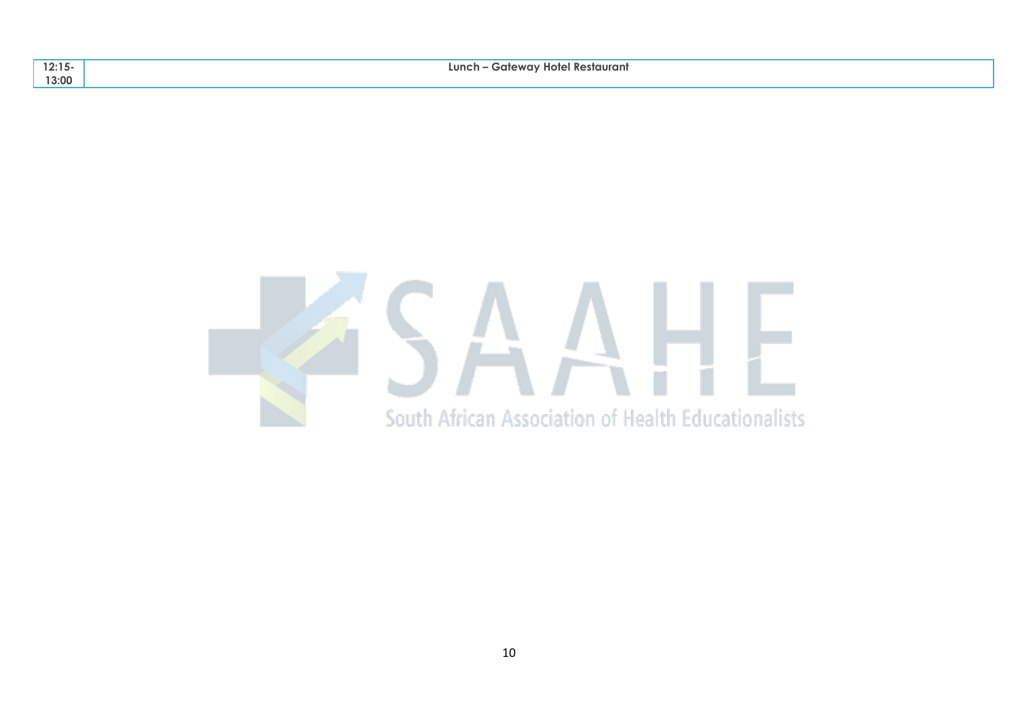| 12:15<br> | · Gatewav Hotel Restaurant<br>Lunch |
|-----------|-------------------------------------|
| 13:00     |                                     |

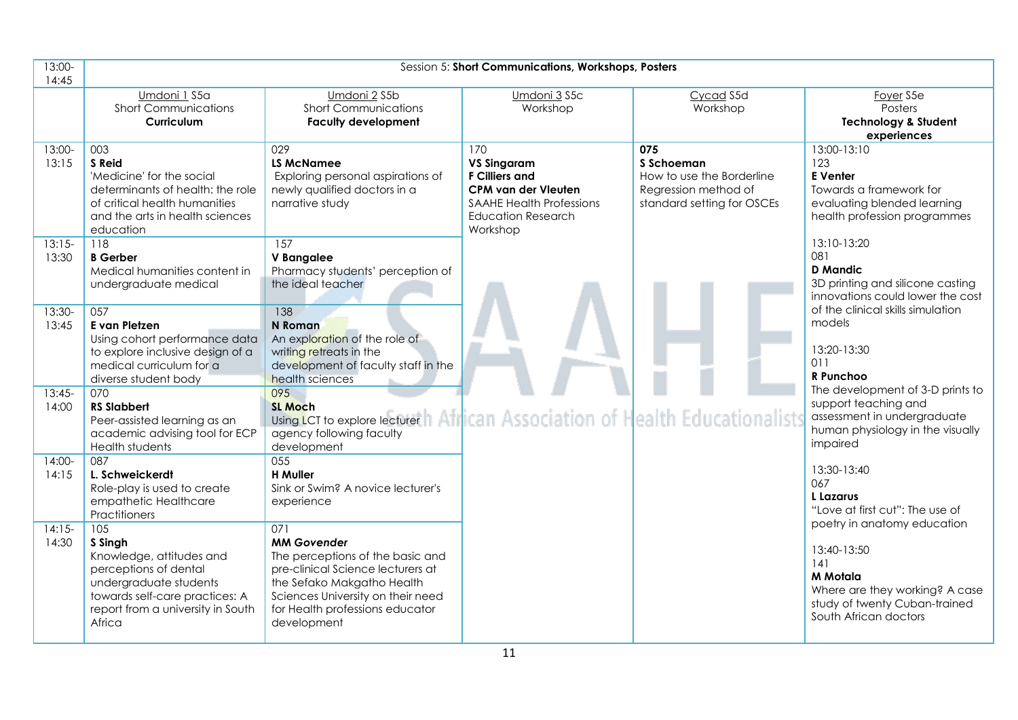| 13:00-<br>14:45   |                                                                                                                                                                                | Session 5: Short Communications, Workshops, Posters                                                                                                                                                                     |                                                                                                                                                              |                                                                                                      |                                                                                                                                         |  |  |  |
|-------------------|--------------------------------------------------------------------------------------------------------------------------------------------------------------------------------|-------------------------------------------------------------------------------------------------------------------------------------------------------------------------------------------------------------------------|--------------------------------------------------------------------------------------------------------------------------------------------------------------|------------------------------------------------------------------------------------------------------|-----------------------------------------------------------------------------------------------------------------------------------------|--|--|--|
|                   | Umdoni 1 S5a<br><b>Short Communications</b><br>Curriculum                                                                                                                      | Umdoni 2 S5b<br><b>Short Communications</b><br><b>Faculty development</b>                                                                                                                                               | Umdoni 3 S5c<br>Workshop                                                                                                                                     | Cycad S5d<br>Workshop                                                                                | Foyer <sub>S5e</sub><br>Posters<br><b>Technology &amp; Student</b><br>experiences                                                       |  |  |  |
| 13:00-<br>13:15   | 003<br>S Reid<br>'Medicine' for the social<br>determinants of health: the role<br>of critical health humanities<br>and the arts in health sciences<br>education                | 029<br><b>LS McNamee</b><br>Exploring personal aspirations of<br>newly qualified doctors in a<br>narrative study                                                                                                        | 170<br><b>VS Singaram</b><br><b>F Cilliers and</b><br><b>CPM van der Vleuten</b><br><b>SAAHE Health Professions</b><br><b>Education Research</b><br>Workshop | 075<br>S Schoeman<br>How to use the Borderline<br>Regression method of<br>standard setting for OSCEs | 13:00-13:10<br>123<br><b>E</b> Venter<br>Towards a framework for<br>evaluating blended learning<br>health profession programmes         |  |  |  |
| $13:15-$<br>13:30 | 118<br><b>B</b> Gerber<br>Medical humanities content in<br>undergraduate medical                                                                                               | 157<br><b>V</b> Bangalee<br>Pharmacy students' perception of<br>the ideal teacher                                                                                                                                       |                                                                                                                                                              |                                                                                                      | 13:10-13:20<br>081<br><b>D</b> Mandic<br>3D printing and silicone casting<br>innovations could lower the cost                           |  |  |  |
| 13:30-<br>13:45   | 057<br>E van Pletzen<br>Using cohort performance data<br>to explore inclusive design of a<br>medical curriculum for a<br>diverse student body                                  | 138<br>N Roman<br>An exploration of the role of<br>writing retreats in the<br>development of faculty staff in the<br>health sciences                                                                                    |                                                                                                                                                              |                                                                                                      | of the clinical skills simulation<br>models<br>13:20-13:30<br>011<br>R Punchoo                                                          |  |  |  |
| $13:45-$<br>14:00 | 070<br><b>RS Slabbert</b><br>Peer-assisted learning as an<br>academic advising tool for ECP<br>Health students                                                                 | 095<br><b>SL Moch</b><br>Using LCT to explore lecturerth African Association of Health Educationalist<br>agency following faculty<br>development                                                                        |                                                                                                                                                              |                                                                                                      | The development of 3-D prints to<br>support teaching and<br>assessment in undergraduate<br>human physiology in the visually<br>impaired |  |  |  |
| $14:00-$<br>14:15 | 087<br>L. Schweickerdt<br>Role-play is used to create<br>empathetic Healthcare<br>Practitioners                                                                                | 055<br><b>H</b> Muller<br>Sink or Swim? A novice lecturer's<br>experience                                                                                                                                               |                                                                                                                                                              |                                                                                                      | 13:30-13:40<br>067<br>L Lazarus<br>"Love at first cut": The use of<br>poetry in anatomy education                                       |  |  |  |
| $14:15-$<br>14:30 | 105<br>S Singh<br>Knowledge, attitudes and<br>perceptions of dental<br>undergraduate students<br>towards self-care practices: A<br>report from a university in South<br>Africa | 071<br><b>MM Govender</b><br>The perceptions of the basic and<br>pre-clinical Science lecturers at<br>the Sefako Makgatho Health<br>Sciences University on their need<br>for Health professions educator<br>development |                                                                                                                                                              |                                                                                                      | 13:40-13:50<br>141<br><b>M</b> Motala<br>Where are they working? A case<br>study of twenty Cuban-trained<br>South African doctors       |  |  |  |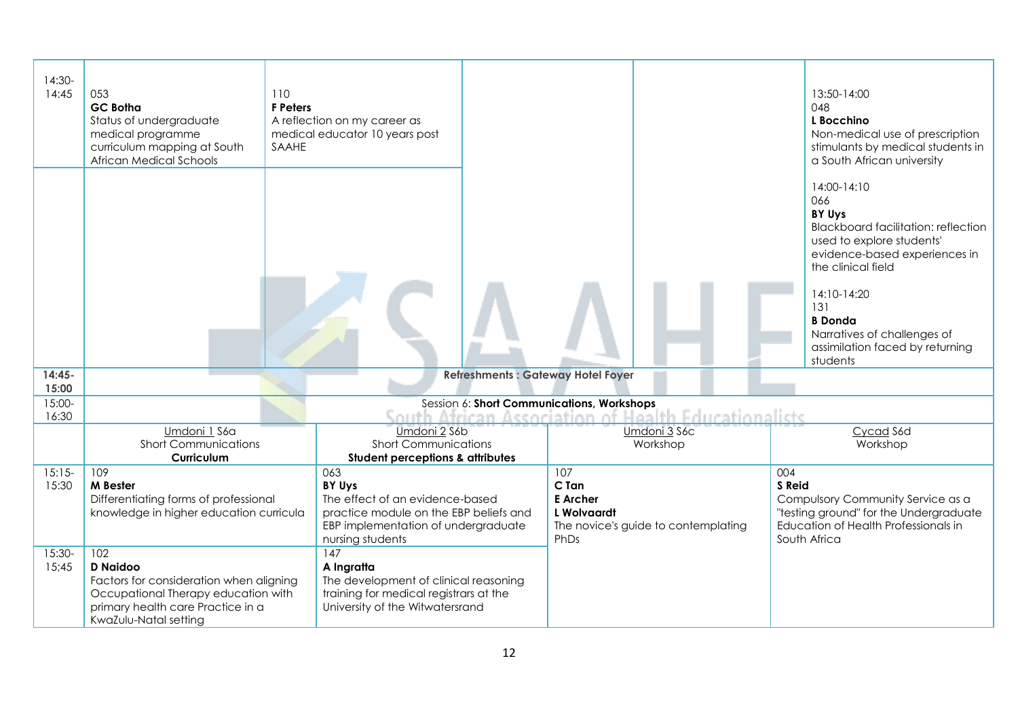| $14:30-$<br>14:45 | 053<br><b>GC Botha</b><br>Status of undergraduate<br>medical programme<br>curriculum mapping at South<br>African Medical Schools                                       | 110<br><b>F</b> Peters<br>SAAHE | A reflection on my career as<br>medical educator 10 years post                                                                                        |                                                        |                                                     | 13:50-14:00<br>048<br>L Bocchino<br>Non-medical use of prescription<br>stimulants by medical students in<br>a South African university                                                                                                                                                      |
|-------------------|------------------------------------------------------------------------------------------------------------------------------------------------------------------------|---------------------------------|-------------------------------------------------------------------------------------------------------------------------------------------------------|--------------------------------------------------------|-----------------------------------------------------|---------------------------------------------------------------------------------------------------------------------------------------------------------------------------------------------------------------------------------------------------------------------------------------------|
|                   |                                                                                                                                                                        |                                 |                                                                                                                                                       |                                                        |                                                     | 14:00-14:10<br>066<br><b>BY Uys</b><br><b>Blackboard facilitation: reflection</b><br>used to explore students'<br>evidence-based experiences in<br>the clinical field<br>14:10-14:20<br>131<br><b>B</b> Donda<br>Narratives of challenges of<br>assimilation faced by returning<br>students |
| $14:45-$<br>15:00 |                                                                                                                                                                        |                                 |                                                                                                                                                       | <b>Refreshments: Gateway Hotel Foyer</b>               |                                                     |                                                                                                                                                                                                                                                                                             |
| $15:00-$<br>16:30 |                                                                                                                                                                        |                                 |                                                                                                                                                       | Session 6: Short Communications, Workshops             | South African Association of Health Educationalists |                                                                                                                                                                                                                                                                                             |
|                   | Umdoni 1 S6a                                                                                                                                                           |                                 | Umdoni 2 S6b                                                                                                                                          |                                                        | Umdoni 3 S6c                                        | Cycad S6d                                                                                                                                                                                                                                                                                   |
|                   | <b>Short Communications</b>                                                                                                                                            |                                 | <b>Short Communications</b>                                                                                                                           |                                                        | Workshop                                            | Workshop                                                                                                                                                                                                                                                                                    |
|                   | Curriculum                                                                                                                                                             |                                 | <b>Student perceptions &amp; attributes</b>                                                                                                           |                                                        |                                                     |                                                                                                                                                                                                                                                                                             |
| $15:15-$<br>15:30 | 109<br>M Bester<br>Differentiating forms of professional<br>knowledge in higher education curricula                                                                    |                                 | 063<br>BY Uys<br>The effect of an evidence-based<br>practice module on the EBP beliefs and<br>EBP implementation of undergraduate<br>nursing students | 107<br>C Tan<br><b>E</b> Archer<br>L Wolvaardt<br>PhDs | The novice's guide to contemplating                 | 004<br>S Reid<br>Compulsory Community Service as a<br>"testing ground" for the Undergraduate<br>Education of Health Professionals in<br>South Africa                                                                                                                                        |
| 15:30-<br>15;45   | 102<br><b>D</b> Naidoo<br>Factors for consideration when aligning<br>Occupational Therapy education with<br>primary health care Practice in a<br>KwaZulu-Natal setting |                                 | $\overline{147}$<br>A Ingratta<br>The development of clinical reasoning<br>training for medical registrars at the<br>University of the Witwatersrand  |                                                        |                                                     |                                                                                                                                                                                                                                                                                             |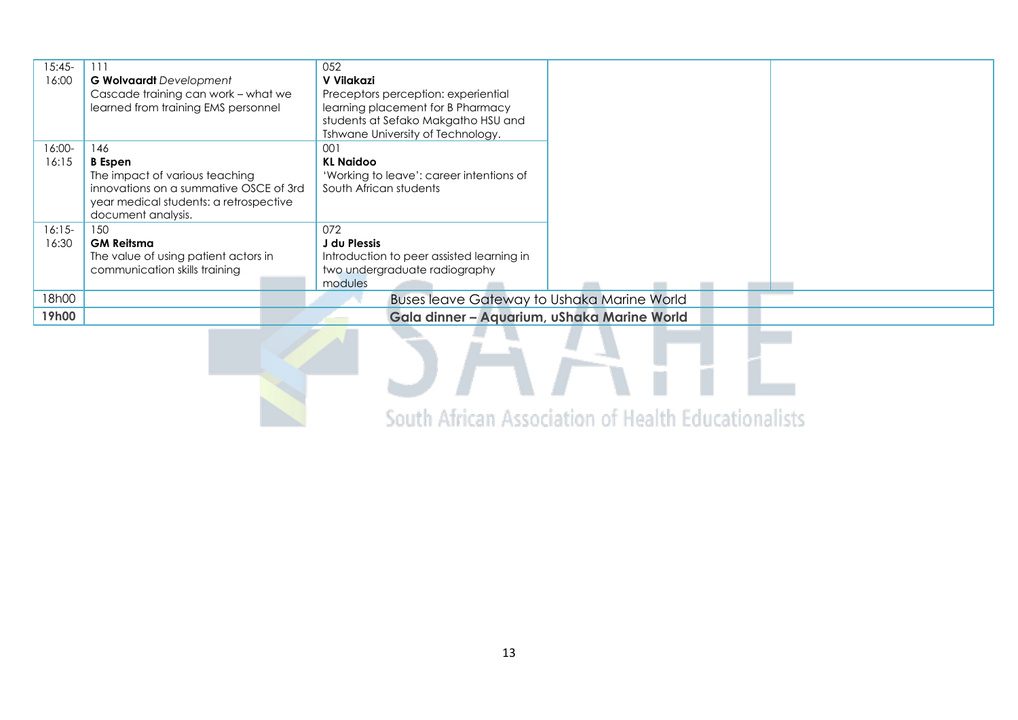| $15:45-$<br>16:00 | 111<br><b>G Wolvaardt</b> Development<br>Cascade training can work - what we<br>learned from training EMS personnel | 052<br>V Vilakazi<br>Preceptors perception: experiential<br>learning placement for B Pharmacy<br>students at Sefako Makgatho HSU and<br>Tshwane University of Technology. |  |  |  |  |  |  |
|-------------------|---------------------------------------------------------------------------------------------------------------------|---------------------------------------------------------------------------------------------------------------------------------------------------------------------------|--|--|--|--|--|--|
| 16:00-            | 146                                                                                                                 | 001                                                                                                                                                                       |  |  |  |  |  |  |
| 16:15             | <b>B</b> Espen                                                                                                      | <b>KL Naidoo</b>                                                                                                                                                          |  |  |  |  |  |  |
|                   | The impact of various teaching                                                                                      | 'Working to leave': career intentions of                                                                                                                                  |  |  |  |  |  |  |
|                   | innovations on a summative OSCE of 3rd<br>year medical students: a retrospective<br>document analysis.              | South African students                                                                                                                                                    |  |  |  |  |  |  |
| $16:15-$          | 150                                                                                                                 | 072                                                                                                                                                                       |  |  |  |  |  |  |
| 16:30             | <b>GM Reitsma</b>                                                                                                   | J du Plessis                                                                                                                                                              |  |  |  |  |  |  |
|                   | The value of using patient actors in                                                                                | Introduction to peer assisted learning in                                                                                                                                 |  |  |  |  |  |  |
|                   | communication skills training                                                                                       | two undergraduate radiography                                                                                                                                             |  |  |  |  |  |  |
|                   |                                                                                                                     | modules                                                                                                                                                                   |  |  |  |  |  |  |
| 18h00             | <b>Buses leave Gateway to Ushaka Marine World</b>                                                                   |                                                                                                                                                                           |  |  |  |  |  |  |
| 19h00             | Gala dinner - Aquarium, uShaka Marine World                                                                         |                                                                                                                                                                           |  |  |  |  |  |  |

South African Association of Health Educationalists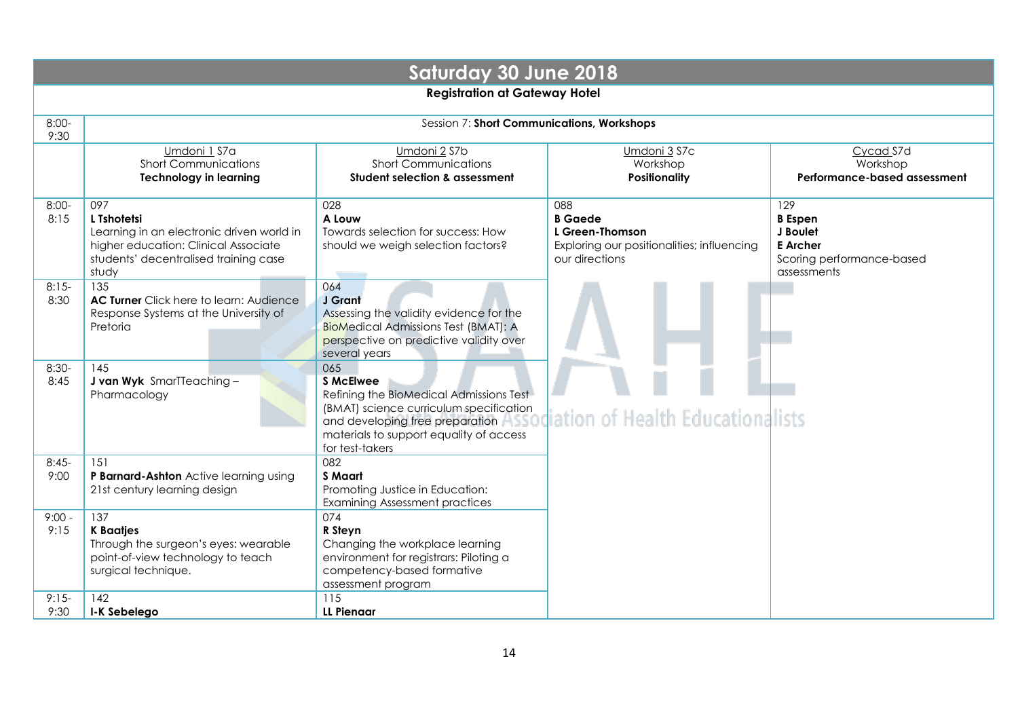| <b>Saturday 30 June 2018</b>         |                                                                                                                                                           |                                                                                                                                                                                                                |                                                                                                          |                                                                                                  |  |  |  |  |  |  |  |
|--------------------------------------|-----------------------------------------------------------------------------------------------------------------------------------------------------------|----------------------------------------------------------------------------------------------------------------------------------------------------------------------------------------------------------------|----------------------------------------------------------------------------------------------------------|--------------------------------------------------------------------------------------------------|--|--|--|--|--|--|--|
| <b>Registration at Gateway Hotel</b> |                                                                                                                                                           |                                                                                                                                                                                                                |                                                                                                          |                                                                                                  |  |  |  |  |  |  |  |
| $8:00-$<br>9:30                      | Session 7: Short Communications, Workshops                                                                                                                |                                                                                                                                                                                                                |                                                                                                          |                                                                                                  |  |  |  |  |  |  |  |
|                                      | Umdoni 1 S7a<br><b>Short Communications</b><br><b>Technology in learning</b>                                                                              | Umdoni 2 S7b<br><b>Short Communications</b><br>Student selection & assessment                                                                                                                                  | Umdoni 3 S7c<br>Workshop<br><b>Positionality</b>                                                         | Cycad S7d<br>Workshop<br>Performance-based assessment                                            |  |  |  |  |  |  |  |
| $8:00-$<br>8:15                      | 097<br>L Tshotetsi<br>Learning in an electronic driven world in<br>higher education: Clinical Associate<br>students' decentralised training case<br>study | 028<br>A Louw<br>Towards selection for success: How<br>should we weigh selection factors?                                                                                                                      | 088<br><b>B</b> Gaede<br>L Green-Thomson<br>Exploring our positionalities; influencing<br>our directions | 129<br><b>B</b> Espen<br>J Boulet<br><b>E</b> Archer<br>Scoring performance-based<br>assessments |  |  |  |  |  |  |  |
| $8:15-$<br>8:30                      | 135<br>AC Turner Click here to learn: Audience<br>Response Systems at the University of<br>Pretoria                                                       | 064<br>J Grant<br>Assessing the validity evidence for the<br><b>BioMedical Admissions Test (BMAT): A</b><br>perspective on predictive validity over<br>several years                                           |                                                                                                          |                                                                                                  |  |  |  |  |  |  |  |
| $8:30-$<br>8:45                      | 145<br>J van Wyk SmarTTeaching-<br>Pharmacology                                                                                                           | 065<br><b>S McElwee</b><br>Refining the BioMedical Admissions Test<br>(BMAT) science curriculum specification<br>and developing free preparation<br>materials to support equality of access<br>for test-takers | <b>Association of Health Educationalists</b>                                                             |                                                                                                  |  |  |  |  |  |  |  |
| $8:45-$<br>9:00                      | 151<br>P Barnard-Ashton Active learning using<br>21st century learning design                                                                             | 082<br><b>S</b> Maart<br>Promoting Justice in Education:<br><b>Examining Assessment practices</b>                                                                                                              |                                                                                                          |                                                                                                  |  |  |  |  |  |  |  |
| $9:00 -$<br>9:15<br>$9:15-$<br>9:30  | 137<br><b>K</b> Baatjes<br>Through the surgeon's eyes: wearable<br>point-of-view technology to teach<br>surgical technique.<br>142<br>I-K Sebelego        | 074<br>R Steyn<br>Changing the workplace learning<br>environment for registrars: Piloting a<br>competency-based formative<br>assessment program<br>115<br><b>LL Pienaar</b>                                    |                                                                                                          |                                                                                                  |  |  |  |  |  |  |  |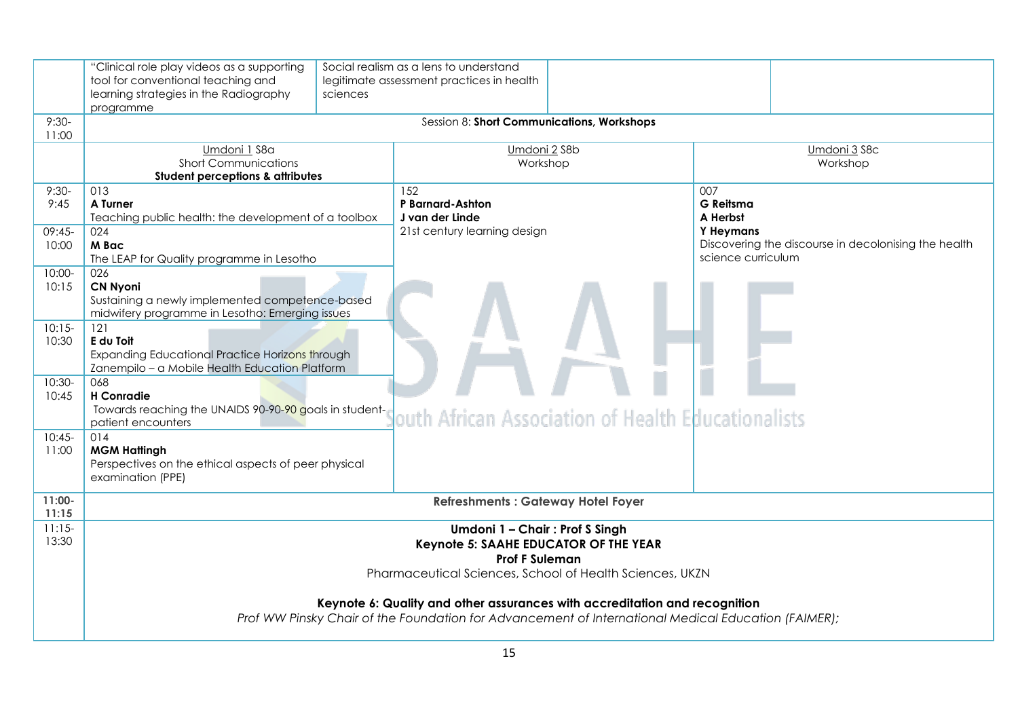|                                    | "Clinical role play videos as a supporting<br>tool for conventional teaching and<br>learning strategies in the Radiography<br>programme                                                                                                                                                  | sciences | Social realism as a lens to understand<br>legitimate assessment practices in health |  |                                                                                                                                |  |  |  |
|------------------------------------|------------------------------------------------------------------------------------------------------------------------------------------------------------------------------------------------------------------------------------------------------------------------------------------|----------|-------------------------------------------------------------------------------------|--|--------------------------------------------------------------------------------------------------------------------------------|--|--|--|
| $9:30-$<br>11:00                   | Session 8: Short Communications, Workshops                                                                                                                                                                                                                                               |          |                                                                                     |  |                                                                                                                                |  |  |  |
|                                    | Umdoni 1 S8a<br><b>Short Communications</b><br><b>Student perceptions &amp; attributes</b>                                                                                                                                                                                               |          | Umdoni 2 S8b<br>Workshop                                                            |  | Umdoni 3 S8c<br>Workshop                                                                                                       |  |  |  |
| $9:30-$<br>9:45<br>09:45-<br>10:00 | 013<br>A Turner<br>Teaching public health: the development of a toolbox<br>024<br>M Bac<br>The LEAP for Quality programme in Lesotho                                                                                                                                                     |          | 152<br>P Barnard-Ashton<br>J van der Linde<br>21st century learning design          |  | 007<br><b>G</b> Reitsma<br>A Herbst<br>Y Heymans<br>Discovering the discourse in decolonising the health<br>science curriculum |  |  |  |
| $10:00 -$<br>10:15                 | 026<br><b>CN Nyoni</b><br>Sustaining a newly implemented competence-based<br>midwifery programme in Lesotho: Emerging issues                                                                                                                                                             |          |                                                                                     |  |                                                                                                                                |  |  |  |
| $10:15-$<br>10:30                  | 121<br>E du Toit<br>Expanding Educational Practice Horizons through<br>Zanempilo - a Mobile Health Education Platform<br>068<br><b>H</b> Conradie<br>Towards reaching the UNAIDS 90-90-90 goals in student-<br>louth African Association of Health Educationalists<br>patient encounters |          |                                                                                     |  |                                                                                                                                |  |  |  |
| $10:30-$<br>10:45                  |                                                                                                                                                                                                                                                                                          |          |                                                                                     |  |                                                                                                                                |  |  |  |
| $10:45-$<br>11:00                  | 014<br><b>MGM Hattingh</b><br>Perspectives on the ethical aspects of peer physical<br>examination (PPE)                                                                                                                                                                                  |          |                                                                                     |  |                                                                                                                                |  |  |  |
| $11:00 -$<br>11:15                 | <b>Refreshments: Gateway Hotel Foyer</b>                                                                                                                                                                                                                                                 |          |                                                                                     |  |                                                                                                                                |  |  |  |
| $11:15-$<br>13:30                  | Umdoni 1 - Chair: Prof S Singh<br>Keynote 5: SAAHE EDUCATOR OF THE YEAR<br><b>Prof F Suleman</b><br>Pharmaceutical Sciences, School of Health Sciences, UKZN                                                                                                                             |          |                                                                                     |  |                                                                                                                                |  |  |  |
|                                    | Keynote 6: Quality and other assurances with accreditation and recognition<br>Prof WW Pinsky Chair of the Foundation for Advancement of International Medical Education (FAIMER);                                                                                                        |          |                                                                                     |  |                                                                                                                                |  |  |  |